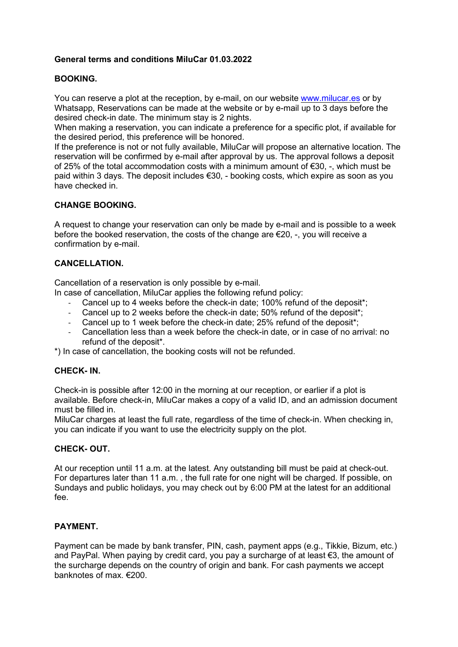# General terms and conditions MiluCar 01.03.2022

# BOOKING.

You can reserve a plot at the reception, by e-mail, on our website www.milucar.es or by Whatsapp, Reservations can be made at the website or by e-mail up to 3 days before the desired check-in date. The minimum stay is 2 nights.

When making a reservation, you can indicate a preference for a specific plot, if available for the desired period, this preference will be honored.

If the preference is not or not fully available, MiluCar will propose an alternative location. The reservation will be confirmed by e-mail after approval by us. The approval follows a deposit of 25% of the total accommodation costs with a minimum amount of €30, -, which must be paid within 3 days. The deposit includes €30, - booking costs, which expire as soon as you have checked in.

# CHANGE BOOKING.

A request to change your reservation can only be made by e-mail and is possible to a week before the booked reservation, the costs of the change are €20, -, you will receive a confirmation by e-mail.

# CANCELLATION.

Cancellation of a reservation is only possible by e-mail.

- In case of cancellation, MiluCar applies the following refund policy:
	- Cancel up to 4 weeks before the check-in date; 100% refund of the deposit\*;
	- Cancel up to 2 weeks before the check-in date; 50% refund of the deposit\*;
	- Cancel up to 1 week before the check-in date; 25% refund of the deposit\*;
	- Cancellation less than a week before the check-in date, or in case of no arrival: no refund of the deposit\*.

\*) In case of cancellation, the booking costs will not be refunded.

# CHECK- IN.

Check-in is possible after 12:00 in the morning at our reception, or earlier if a plot is available. Before check-in, MiluCar makes a copy of a valid ID, and an admission document must be filled in.

MiluCar charges at least the full rate, regardless of the time of check-in. When checking in, you can indicate if you want to use the electricity supply on the plot.

# CHECK- OUT.

At our reception until 11 a.m. at the latest. Any outstanding bill must be paid at check-out. For departures later than 11 a.m. , the full rate for one night will be charged. If possible, on Sundays and public holidays, you may check out by 6:00 PM at the latest for an additional fee.

# PAYMENT.

Payment can be made by bank transfer, PIN, cash, payment apps (e.g., Tikkie, Bizum, etc.) and PayPal. When paying by credit card, you pay a surcharge of at least €3, the amount of the surcharge depends on the country of origin and bank. For cash payments we accept banknotes of max. €200.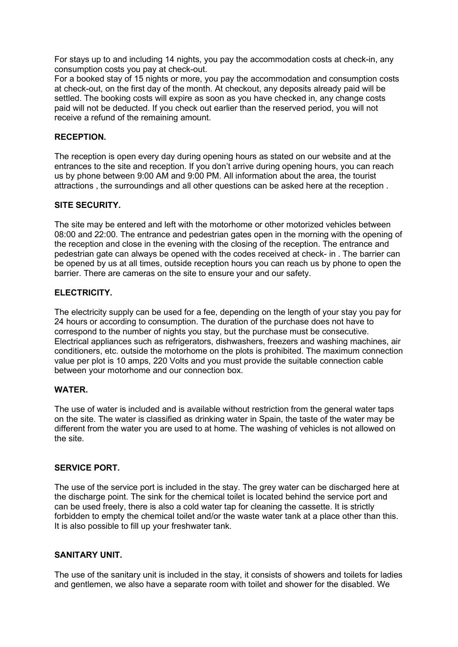For stays up to and including 14 nights, you pay the accommodation costs at check-in, any consumption costs you pay at check-out.

For a booked stay of 15 nights or more, you pay the accommodation and consumption costs at check-out, on the first day of the month. At checkout, any deposits already paid will be settled. The booking costs will expire as soon as you have checked in, any change costs paid will not be deducted. If you check out earlier than the reserved period, you will not receive a refund of the remaining amount.

#### RECEPTION.

The reception is open every day during opening hours as stated on our website and at the entrances to the site and reception. If you don't arrive during opening hours, you can reach us by phone between 9:00 AM and 9:00 PM. All information about the area, the tourist attractions , the surroundings and all other questions can be asked here at the reception .

# SITE SECURITY.

The site may be entered and left with the motorhome or other motorized vehicles between 08:00 and 22:00. The entrance and pedestrian gates open in the morning with the opening of the reception and close in the evening with the closing of the reception. The entrance and pedestrian gate can always be opened with the codes received at check- in . The barrier can be opened by us at all times, outside reception hours you can reach us by phone to open the barrier. There are cameras on the site to ensure your and our safety.

#### ELECTRICITY.

The electricity supply can be used for a fee, depending on the length of your stay you pay for 24 hours or according to consumption. The duration of the purchase does not have to correspond to the number of nights you stay, but the purchase must be consecutive. Electrical appliances such as refrigerators, dishwashers, freezers and washing machines, air conditioners, etc. outside the motorhome on the plots is prohibited. The maximum connection value per plot is 10 amps, 220 Volts and you must provide the suitable connection cable between your motorhome and our connection box.

#### WATER.

The use of water is included and is available without restriction from the general water taps on the site. The water is classified as drinking water in Spain, the taste of the water may be different from the water you are used to at home. The washing of vehicles is not allowed on the site.

#### SERVICE PORT.

The use of the service port is included in the stay. The grey water can be discharged here at the discharge point. The sink for the chemical toilet is located behind the service port and can be used freely, there is also a cold water tap for cleaning the cassette. It is strictly forbidden to empty the chemical toilet and/or the waste water tank at a place other than this. It is also possible to fill up your freshwater tank.

# SANITARY UNIT.

The use of the sanitary unit is included in the stay, it consists of showers and toilets for ladies and gentlemen, we also have a separate room with toilet and shower for the disabled. We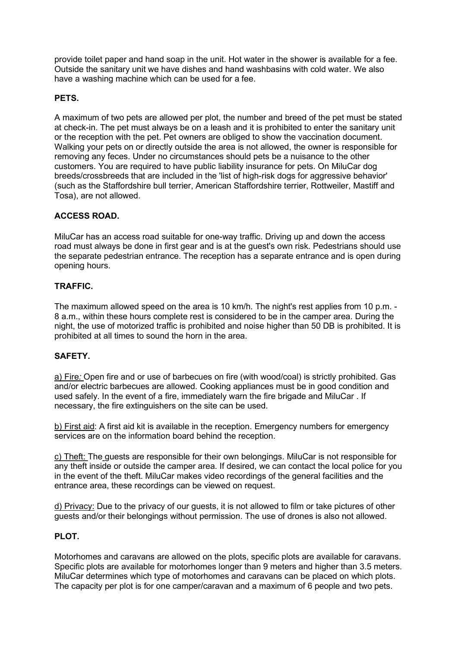provide toilet paper and hand soap in the unit. Hot water in the shower is available for a fee. Outside the sanitary unit we have dishes and hand washbasins with cold water. We also have a washing machine which can be used for a fee.

# PETS.

A maximum of two pets are allowed per plot, the number and breed of the pet must be stated at check-in. The pet must always be on a leash and it is prohibited to enter the sanitary unit or the reception with the pet. Pet owners are obliged to show the vaccination document. Walking your pets on or directly outside the area is not allowed, the owner is responsible for removing any feces. Under no circumstances should pets be a nuisance to the other customers. You are required to have public liability insurance for pets. On MiluCar dog breeds/crossbreeds that are included in the 'list of high-risk dogs for aggressive behavior' (such as the Staffordshire bull terrier, American Staffordshire terrier, Rottweiler, Mastiff and Tosa), are not allowed.

# ACCESS ROAD.

MiluCar has an access road suitable for one-way traffic. Driving up and down the access road must always be done in first gear and is at the guest's own risk. Pedestrians should use the separate pedestrian entrance. The reception has a separate entrance and is open during opening hours.

# TRAFFIC.

The maximum allowed speed on the area is 10 km/h. The night's rest applies from 10 p.m. - 8 a.m., within these hours complete rest is considered to be in the camper area. During the night, the use of motorized traffic is prohibited and noise higher than 50 DB is prohibited. It is prohibited at all times to sound the horn in the area.

# SAFETY.

a) Fire: Open fire and or use of barbecues on fire (with wood/coal) is strictly prohibited. Gas and/or electric barbecues are allowed. Cooking appliances must be in good condition and used safely. In the event of a fire, immediately warn the fire brigade and MiluCar . If necessary, the fire extinguishers on the site can be used.

b) First aid: A first aid kit is available in the reception. Emergency numbers for emergency services are on the information board behind the reception.

c) Theft: The guests are responsible for their own belongings. MiluCar is not responsible for any theft inside or outside the camper area. If desired, we can contact the local police for you in the event of the theft. MiluCar makes video recordings of the general facilities and the entrance area, these recordings can be viewed on request.

d) Privacy: Due to the privacy of our guests, it is not allowed to film or take pictures of other guests and/or their belongings without permission. The use of drones is also not allowed.

# PLOT.

Motorhomes and caravans are allowed on the plots, specific plots are available for caravans. Specific plots are available for motorhomes longer than 9 meters and higher than 3.5 meters. MiluCar determines which type of motorhomes and caravans can be placed on which plots. The capacity per plot is for one camper/caravan and a maximum of 6 people and two pets.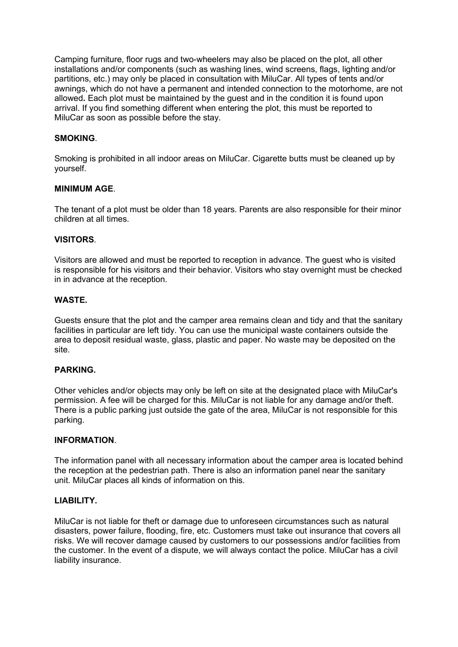Camping furniture, floor rugs and two-wheelers may also be placed on the plot, all other installations and/or components (such as washing lines, wind screens, flags, lighting and/or partitions, etc.) may only be placed in consultation with MiluCar. All types of tents and/or awnings, which do not have a permanent and intended connection to the motorhome, are not allowed. Each plot must be maintained by the guest and in the condition it is found upon arrival. If you find something different when entering the plot, this must be reported to MiluCar as soon as possible before the stay.

#### SMOKING.

Smoking is prohibited in all indoor areas on MiluCar. Cigarette butts must be cleaned up by yourself.

#### MINIMUM AGE.

The tenant of a plot must be older than 18 years. Parents are also responsible for their minor children at all times.

#### VISITORS.

Visitors are allowed and must be reported to reception in advance. The guest who is visited is responsible for his visitors and their behavior. Visitors who stay overnight must be checked in in advance at the reception.

#### WASTE.

Guests ensure that the plot and the camper area remains clean and tidy and that the sanitary facilities in particular are left tidy. You can use the municipal waste containers outside the area to deposit residual waste, glass, plastic and paper. No waste may be deposited on the site.

#### PARKING.

Other vehicles and/or objects may only be left on site at the designated place with MiluCar's permission. A fee will be charged for this. MiluCar is not liable for any damage and/or theft. There is a public parking just outside the gate of the area, MiluCar is not responsible for this parking.

#### INFORMATION.

The information panel with all necessary information about the camper area is located behind the reception at the pedestrian path. There is also an information panel near the sanitary unit. MiluCar places all kinds of information on this.

#### LIABILITY.

MiluCar is not liable for theft or damage due to unforeseen circumstances such as natural disasters, power failure, flooding, fire, etc. Customers must take out insurance that covers all risks. We will recover damage caused by customers to our possessions and/or facilities from the customer. In the event of a dispute, we will always contact the police. MiluCar has a civil liability insurance.